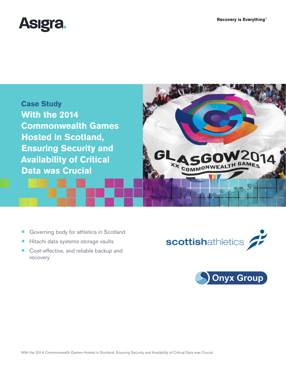

**Case Study With the 2014 Commonwealth Games Hosted in Scotland, Ensuring Security and Availability of Critical Data was Crucial**





ASGOW2014

- Governing body for athletics in Scotland
- Hitachi data systems storage vaults
- Cost-effective, and reliable backup and recovery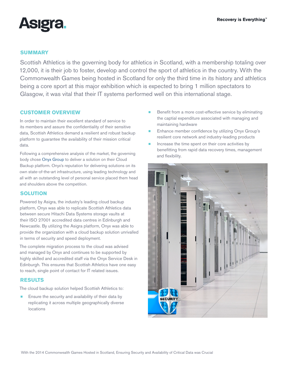

# **SUMMARY**

Scottish Athletics is the governing body for athletics in Scotland, with a membership totaling over 12,000, it is their job to foster, develop and control the sport of athletics in the country. With the Commonwealth Games being hosted in Scotland for only the third time in its history and athletics being a core sport at this major exhibition which is expected to bring 1 million spectators to Glasgow, it was vital that their IT systems performed well on this international stage.

# **CUSTOMER OVERVIEW**

In order to maintain their excellent standard of service to its members and assure the confidentiality of their sensitive data, Scottish Athletics demand a resilient and robust backup platform to guarantee the availability of their mission critical data.

Following a comprehensive analysis of the market, the governing body chose [Onyx Group](http://onyx.net/) to deliver a solution on their Cloud Backup platform. Onyx's reputation for delivering solutions on its own state-of-the-art infrastructure, using leading technology and all with an outstanding level of personal service placed them head and shoulders above the competition.

# **SOLUTION**

Powered by Asigra, the industry's leading cloud backup platform, Onyx was able to replicate Scottish Athletics data between secure Hitachi Data Systems storage vaults at their ISO 27001 accredited data centres in Edinburgh and Newcastle. By utilizing the Asigra platform, Onyx was able to provide the organization with a cloud backup solution unrivalled in terms of security and speed deployment.

The complete migration process to the cloud was advised and managed by Onyx and continues to be supported by highly skilled and accredited staff via the Onyx Service Desk in Edinburgh. This ensures that Scottish Athletics have one easy to reach, single point of contact for IT related issues.

# **RESULTS**

The cloud backup solution helped Scottish Athletics to:

Ensure the security and availability of their data by replicating it across multiple geographically diverse locations

- Benefit from a more cost-effective service by eliminating the captial expenditure associated with managing and maintaining hardware
- Enhance member confidence by utilizing Onyx Group's resilient core network and industry-leading products
- Increase the time spent on their core activities by benefitting from rapid data recovery times, management and flexibility.